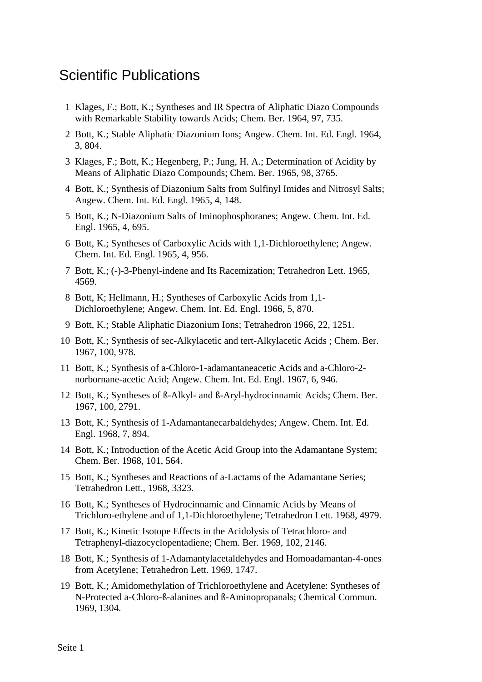## Scientific Publications

- 1 Klages, F.; Bott, K.; Syntheses and IR Spectra of Aliphatic Diazo Compounds with Remarkable Stability towards Acids; Chem. Ber. 1964, 97, 735.
- 2 Bott, K.; Stable Aliphatic Diazonium Ions; Angew. Chem. Int. Ed. Engl. 1964, 3, 804.
- 3 Klages, F.; Bott, K.; Hegenberg, P.; Jung, H. A.; Determination of Acidity by Means of Aliphatic Diazo Compounds; Chem. Ber. 1965, 98, 3765.
- 4 Bott, K.; Synthesis of Diazonium Salts from Sulfinyl Imides and Nitrosyl Salts; Angew. Chem. Int. Ed. Engl. 1965, 4, 148.
- 5 Bott, K.; N-Diazonium Salts of Iminophosphoranes; Angew. Chem. Int. Ed. Engl. 1965, 4, 695.
- 6 Bott, K.; Syntheses of Carboxylic Acids with 1,1-Dichloroethylene; Angew. Chem. Int. Ed. Engl. 1965, 4, 956.
- 7 Bott, K.; (-)-3-Phenyl-indene and Its Racemization; Tetrahedron Lett. 1965, 4569.
- 8 Bott, K; Hellmann, H.; Syntheses of Carboxylic Acids from 1,1- Dichloroethylene; Angew. Chem. Int. Ed. Engl. 1966, 5, 870.
- 9 Bott, K.; Stable Aliphatic Diazonium Ions; Tetrahedron 1966, 22, 1251.
- 10 Bott, K.; Synthesis of sec-Alkylacetic and tert-Alkylacetic Acids ; Chem. Ber. 1967, 100, 978.
- 11 Bott, K.; Synthesis of a-Chloro-1-adamantaneacetic Acids and a-Chloro-2 norbornane-acetic Acid; Angew. Chem. Int. Ed. Engl. 1967, 6, 946.
- 12 Bott, K.; Syntheses of ß-Alkyl- and ß-Aryl-hydrocinnamic Acids; Chem. Ber. 1967, 100, 2791.
- 13 Bott, K.; Synthesis of 1-Adamantanecarbaldehydes; Angew. Chem. Int. Ed. Engl. 1968, 7, 894.
- 14 Bott, K.; Introduction of the Acetic Acid Group into the Adamantane System; Chem. Ber. 1968, 101, 564.
- 15 Bott, K.; Syntheses and Reactions of a-Lactams of the Adamantane Series; Tetrahedron Lett., 1968, 3323.
- 16 Bott, K.; Syntheses of Hydrocinnamic and Cinnamic Acids by Means of Trichloro-ethylene and of 1,1-Dichloroethylene; Tetrahedron Lett. 1968, 4979.
- 17 Bott, K.; Kinetic Isotope Effects in the Acidolysis of Tetrachloro- and Tetraphenyl-diazocyclopentadiene; Chem. Ber. 1969, 102, 2146.
- 18 Bott, K.; Synthesis of 1-Adamantylacetaldehydes and Homoadamantan-4-ones from Acetylene; Tetrahedron Lett. 1969, 1747.
- 19 Bott, K.; Amidomethylation of Trichloroethylene and Acetylene: Syntheses of N-Protected a-Chloro-ß-alanines and ß-Aminopropanals; Chemical Commun. 1969, 1304.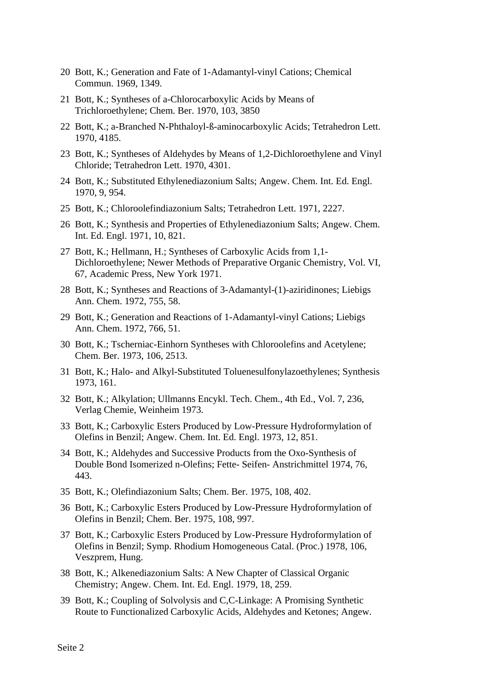- 20 Bott, K.; Generation and Fate of 1-Adamantyl-vinyl Cations; Chemical Commun. 1969, 1349.
- 21 Bott, K.; Syntheses of a-Chlorocarboxylic Acids by Means of Trichloroethylene; Chem. Ber. 1970, 103, 3850
- 22 Bott, K.; a-Branched N-Phthaloyl-ß-aminocarboxylic Acids; Tetrahedron Lett. 1970, 4185.
- 23 Bott, K.; Syntheses of Aldehydes by Means of 1,2-Dichloroethylene and Vinyl Chloride; Tetrahedron Lett. 1970, 4301.
- 24 Bott, K.; Substituted Ethylenediazonium Salts; Angew. Chem. Int. Ed. Engl. 1970, 9, 954.
- 25 Bott, K.; Chloroolefindiazonium Salts; Tetrahedron Lett. 1971, 2227.
- 26 Bott, K.; Synthesis and Properties of Ethylenediazonium Salts; Angew. Chem. Int. Ed. Engl. 1971, 10, 821.
- 27 Bott, K.; Hellmann, H.; Syntheses of Carboxylic Acids from 1,1- Dichloroethylene; Newer Methods of Preparative Organic Chemistry, Vol. VI, 67, Academic Press, New York 1971.
- 28 Bott, K.; Syntheses and Reactions of 3-Adamantyl-(1)-aziridinones; Liebigs Ann. Chem. 1972, 755, 58.
- 29 Bott, K.; Generation and Reactions of 1-Adamantyl-vinyl Cations; Liebigs Ann. Chem. 1972, 766, 51.
- 30 Bott, K.; Tscherniac-Einhorn Syntheses with Chloroolefins and Acetylene; Chem. Ber. 1973, 106, 2513.
- 31 Bott, K.; Halo- and Alkyl-Substituted Toluenesulfonylazoethylenes; Synthesis 1973, 161.
- 32 Bott, K.; Alkylation; Ullmanns Encykl. Tech. Chem., 4th Ed., Vol. 7, 236, Verlag Chemie, Weinheim 1973.
- 33 Bott, K.; Carboxylic Esters Produced by Low-Pressure Hydroformylation of Olefins in Benzil; Angew. Chem. Int. Ed. Engl. 1973, 12, 851.
- 34 Bott, K.; Aldehydes and Successive Products from the Oxo-Synthesis of Double Bond Isomerized n-Olefins; Fette- Seifen- Anstrichmittel 1974, 76, 443.
- 35 Bott, K.; Olefindiazonium Salts; Chem. Ber. 1975, 108, 402.
- 36 Bott, K.; Carboxylic Esters Produced by Low-Pressure Hydroformylation of Olefins in Benzil; Chem. Ber. 1975, 108, 997.
- 37 Bott, K.; Carboxylic Esters Produced by Low-Pressure Hydroformylation of Olefins in Benzil; Symp. Rhodium Homogeneous Catal. (Proc.) 1978, 106, Veszprem, Hung.
- 38 Bott, K.; Alkenediazonium Salts: A New Chapter of Classical Organic Chemistry; Angew. Chem. Int. Ed. Engl. 1979, 18, 259.
- 39 Bott, K.; Coupling of Solvolysis and C,C-Linkage: A Promising Synthetic Route to Functionalized Carboxylic Acids, Aldehydes and Ketones; Angew.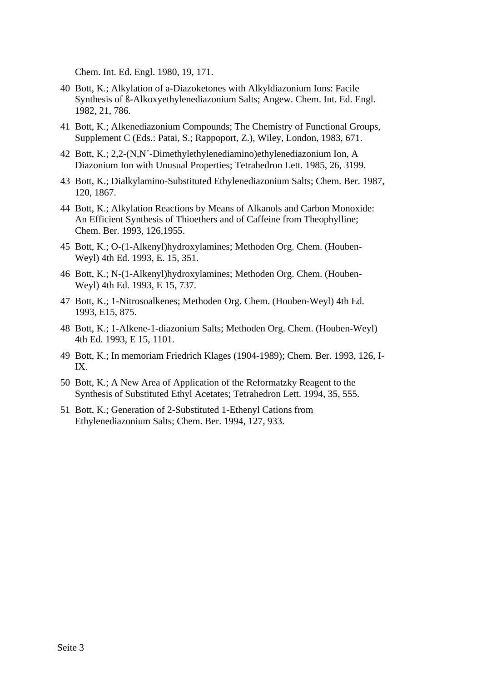Chem. Int. Ed. Engl. 1980, 19, 171.

- 40 Bott, K.; Alkylation of a-Diazoketones with Alkyldiazonium Ions: Facile Synthesis of ß-Alkoxyethylenediazonium Salts; Angew. Chem. Int. Ed. Engl. 1982, 21, 786.
- 41 Bott, K.; Alkenediazonium Compounds; The Chemistry of Functional Groups, Supplement C (Eds.: Patai, S.; Rappoport, Z.), Wiley, London, 1983, 671.
- 42 Bott, K.; 2,2-(N,N´-Dimethylethylenediamino)ethylenediazonium Ion, A Diazonium Ion with Unusual Properties; Tetrahedron Lett. 1985, 26, 3199.
- 43 Bott, K.; Dialkylamino-Substituted Ethylenediazonium Salts; Chem. Ber. 1987, 120, 1867.
- 44 Bott, K.; Alkylation Reactions by Means of Alkanols and Carbon Monoxide: An Efficient Synthesis of Thioethers and of Caffeine from Theophylline; Chem. Ber. 1993, 126,1955.
- 45 Bott, K.; O-(1-Alkenyl)hydroxylamines; Methoden Org. Chem. (Houben-Weyl) 4th Ed. 1993, E. 15, 351.
- 46 Bott, K.; N-(1-Alkenyl)hydroxylamines; Methoden Org. Chem. (Houben-Weyl) 4th Ed. 1993, E 15, 737.
- 47 Bott, K.; 1-Nitrosoalkenes; Methoden Org. Chem. (Houben-Weyl) 4th Ed. 1993, E15, 875.
- 48 Bott, K.; 1-Alkene-1-diazonium Salts; Methoden Org. Chem. (Houben-Weyl) 4th Ed. 1993, E 15, 1101.
- 49 Bott, K.; In memoriam Friedrich Klages (1904-1989); Chem. Ber. 1993, 126, I-IX.
- 50 Bott, K.; A New Area of Application of the Reformatzky Reagent to the Synthesis of Substituted Ethyl Acetates; Tetrahedron Lett. 1994, 35, 555.
- 51 Bott, K.; Generation of 2-Substituted 1-Ethenyl Cations from Ethylenediazonium Salts; Chem. Ber. 1994, 127, 933.